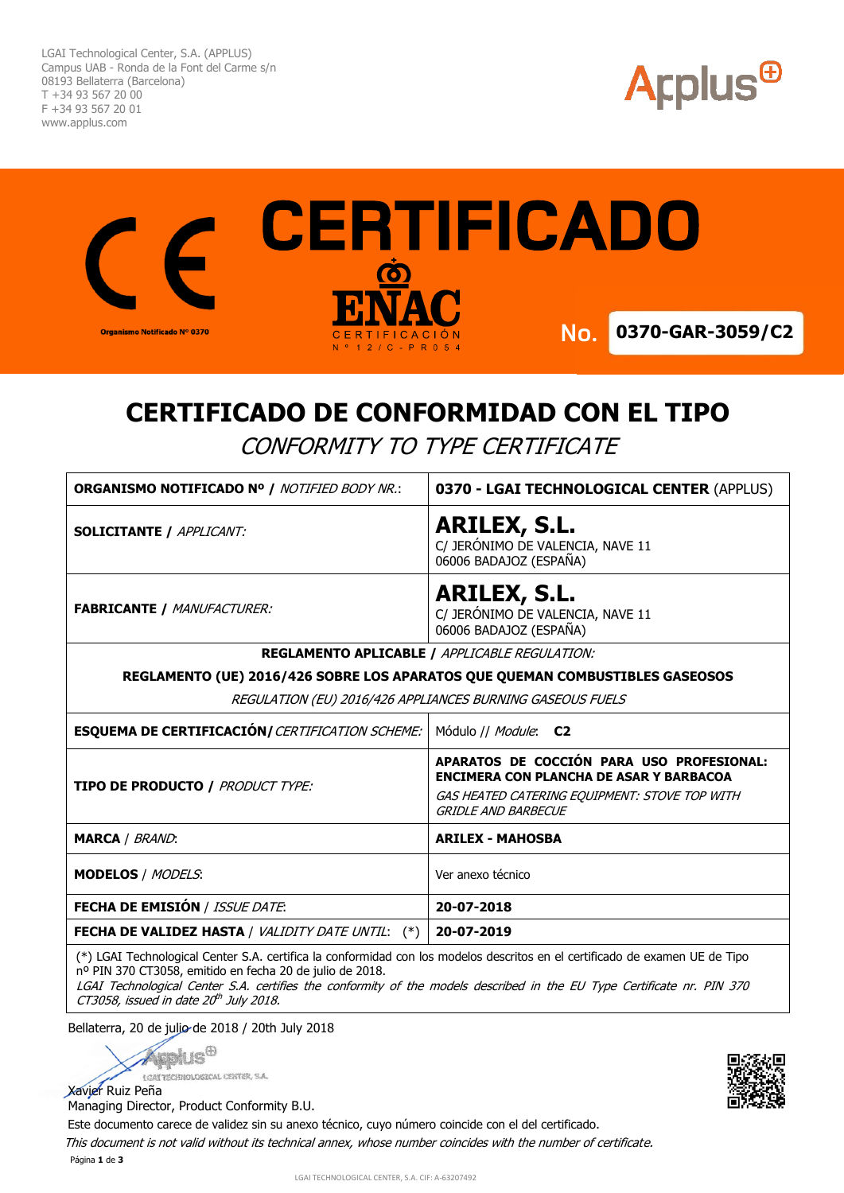LGAI Technological Center, S.A. (APPLUS) Campus UAB - Ronda de la Font del Carme s/n 08193 Bellaterra (Barcelona) T +34 93 567 20 00 F +34 93 567 20 01 www.applus.com





# **CERTIFICADO DE CONFORMIDAD CON EL TIPO**

CONFORMITY TO TYPE CERTIFICATE

| ORGANISMO NOTIFICADO Nº / NOTIFIED BODY NR.:                                 | 0370 - LGAI TECHNOLOGICAL CENTER (APPLUS)                                                                                                                                  |  |  |  |
|------------------------------------------------------------------------------|----------------------------------------------------------------------------------------------------------------------------------------------------------------------------|--|--|--|
| <b>SOLICITANTE / APPLICANT:</b>                                              | ARILEX, S.L.<br>C/ JERÓNIMO DE VALENCIA, NAVE 11<br>06006 BADAJOZ (ESPAÑA)                                                                                                 |  |  |  |
| <b>FABRICANTE / MANUFACTURER:</b>                                            | <b>ARILEX, S.L.</b><br>C/ JERÓNIMO DE VALENCIA, NAVE 11<br>06006 BADAJOZ (ESPAÑA)                                                                                          |  |  |  |
| <b>REGLAMENTO APLICABLE / APPLICABLE REGULATION:</b>                         |                                                                                                                                                                            |  |  |  |
| REGLAMENTO (UE) 2016/426 SOBRE LOS APARATOS QUE QUEMAN COMBUSTIBLES GASEOSOS |                                                                                                                                                                            |  |  |  |
| REGULATION (EU) 2016/426 APPLIANCES BURNING GASEOUS FUELS                    |                                                                                                                                                                            |  |  |  |
| <b>ESQUEMA DE CERTIFICACIÓN/ CERTIFICATION SCHEME:</b>                       | Módulo // <i>Module</i> : C2                                                                                                                                               |  |  |  |
| <b>TIPO DE PRODUCTO / PRODUCT TYPE:</b>                                      | APARATOS DE COCCIÓN PARA USO PROFESIONAL:<br><b>ENCIMERA CON PLANCHA DE ASAR Y BARBACOA</b><br>GAS HEATED CATERING EQUIPMENT: STOVE TOP WITH<br><b>GRIDLE AND BARBECUE</b> |  |  |  |
| <b>MARCA</b> / BRAND:                                                        | <b>ARILEX - MAHOSBA</b>                                                                                                                                                    |  |  |  |
| <b>MODELOS / MODELS:</b>                                                     | Ver anexo técnico                                                                                                                                                          |  |  |  |
| <b>FECHA DE EMISIÓN / ISSUE DATE:</b>                                        | 20-07-2018                                                                                                                                                                 |  |  |  |
| <b>FECHA DE VALIDEZ HASTA / VALIDITY DATE UNTIL:</b><br>$^{(*)}$             | 20-07-2019                                                                                                                                                                 |  |  |  |
|                                                                              |                                                                                                                                                                            |  |  |  |

(\*) LGAI Technological Center S.A. certifica la conformidad con los modelos descritos en el certificado de examen UE de Tipo nº PIN 370 CT3058, emitido en fecha 20 de julio de 2018.

LGAI Technological Center S.A. certifies the conformity of the models described in the EU Type Certificate nr. PIN 370 CT3058, issued in date 20<sup>th</sup> July 2018.

Bellaterra, 20 de julio de 2018 / 20th July 2018

lus<sup>0</sup> LGAT TECHNOLOGICAL CENTER, S.A.

Xavier Ruiz Peña

Managing Director, Product Conformity B.U.

Este documento carece de validez sin su anexo técnico, cuyo número coincide con el del certificado.

Página **1** de **3** This document is not valid without its technical annex, whose number coincides with the number of certificate.

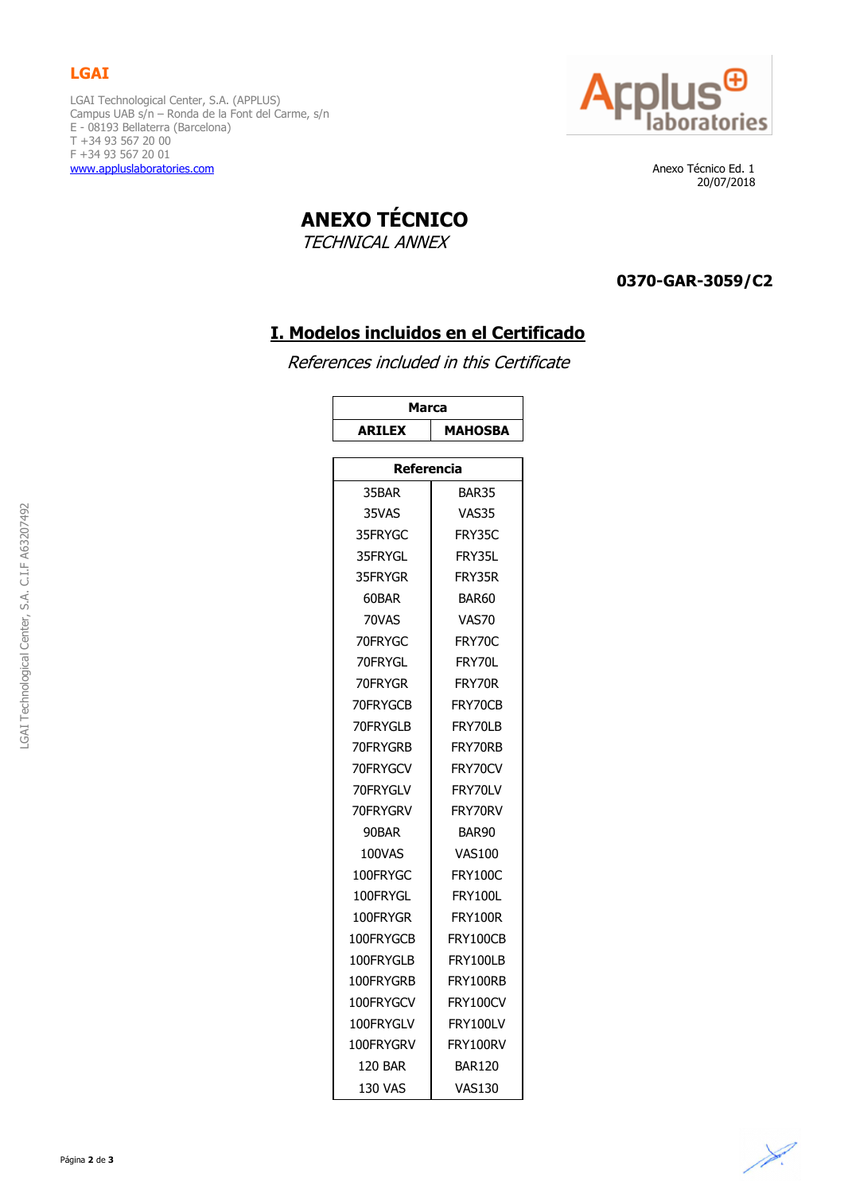## **LGAI**

LGAI Technological Center, S.A. (APPLUS) Campus UAB s/n – Ronda de la Font del Carme, s/n E - 08193 Bellaterra (Barcelona) T +34 93 567 20 00 F +34 93 567 20 01 [www.appluslaboratories.com](http://www.appluslaboratories.com/) **Anexo Técnico Ed. 1** 



20/07/2018

**ANEXO TÉCNICO**

TECHNICAL ANNEX

#### **0370-GAR-3059/C2**

# **I. Modelos incluidos en el Certificado**

References included in this Certificate

| <b>Marca</b>      |                |  |  |  |
|-------------------|----------------|--|--|--|
| <b>ARILEX</b>     | <b>MAHOSBA</b> |  |  |  |
|                   |                |  |  |  |
| Referencia        |                |  |  |  |
| 35BAR             | <b>BAR35</b>   |  |  |  |
| 35VAS             | VAS35          |  |  |  |
| 35FRYGC           | FRY35C         |  |  |  |
| 35FRYGL           | FRY35L         |  |  |  |
| 35FRYGR           | FRY35R         |  |  |  |
| 60BAR             | BAR60          |  |  |  |
| 70VAS             | VAS70          |  |  |  |
| 70FRYGC           | FRY70C         |  |  |  |
| 70FRYGL           | FRY70L         |  |  |  |
| 70FRYGR           | FRY70R         |  |  |  |
| 70FRYGCB          | FRY70CB        |  |  |  |
| 70FRYGLB          | FRY70LB        |  |  |  |
| 70FRYGRB          | FRY70RB        |  |  |  |
| 70FRYGCV          | FRY70CV        |  |  |  |
| 70FRYGLV          | FRY70LV        |  |  |  |
| 70FRYGRV          | FRY70RV        |  |  |  |
| 90BAR             | BAR90          |  |  |  |
| 100VAS            | <b>VAS100</b>  |  |  |  |
| 100FRYGC          | <b>FRY100C</b> |  |  |  |
| 100FRYGL          | FRY100L        |  |  |  |
| 100FRYGR          | FRY100R        |  |  |  |
| 100FRYGCB         | FRY100CB       |  |  |  |
| 100FRYGLB         | FRY100LB       |  |  |  |
| 100FRYGRB         | FRY100RB       |  |  |  |
| 100FRYGCV         | FRY100CV       |  |  |  |
| 100FRYGLV         | FRY100LV       |  |  |  |
| 100FRYGRV         | FRY100RV       |  |  |  |
| 120 BAR<br>BAR120 |                |  |  |  |
| <b>130 VAS</b>    | <b>VAS130</b>  |  |  |  |

.GAI Technological Center, S.A. C.I.F A63207492 LGAI Technological Center, S.A. C.I.F A63207492